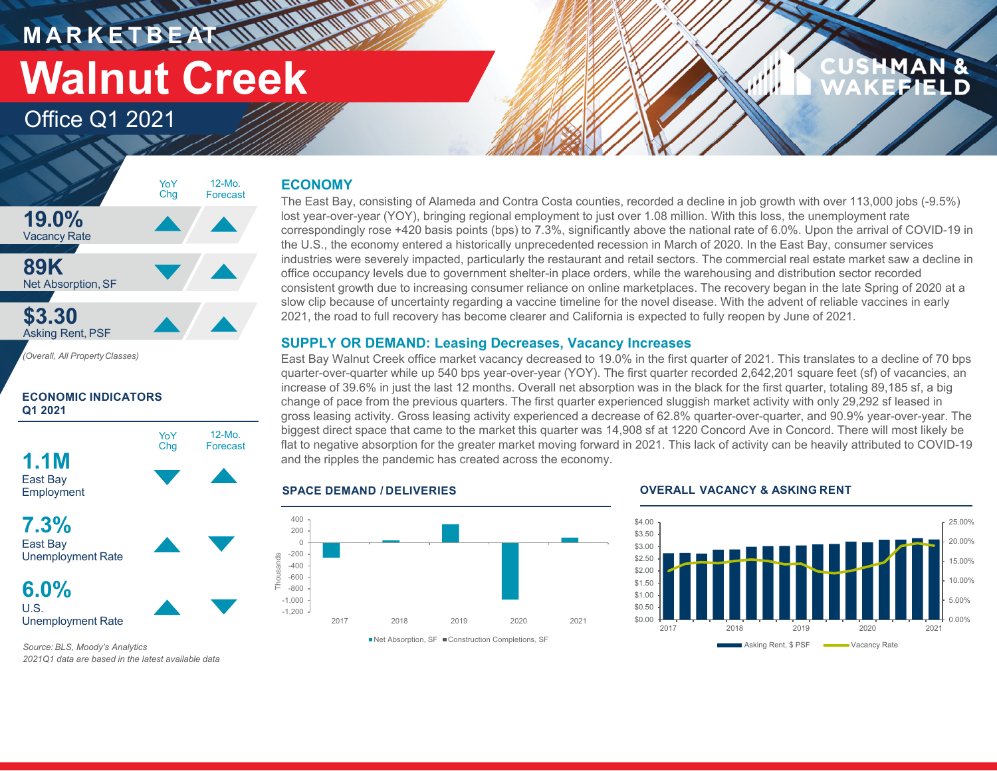**M A R K E T B E AT Walnut Creek**

### Office Q1 2021

# MAN



**ECONOMIC INDICATORS Q1 2021**



### **ECONOMY**

**HART AND AN** 

The East Bay, consisting of Alameda and Contra Costa counties, recorded a decline in job growth with over 113,000 jobs (-9.5%) lost year-over-year (YOY), bringing regional employment to just over 1.08 million. With this loss, the unemployment rate correspondingly rose +420 basis points (bps) to 7.3%, significantly above the national rate of 6.0%. Upon the arrival of COVID-19 in the U.S., the economy entered a historically unprecedented recession in March of 2020. In the East Bay, consumer services industries were severely impacted, particularly the restaurant and retail sectors. The commercial real estate market saw a decline in office occupancy levels due to government shelter-in place orders, while the warehousing and distribution sector recorded consistent growth due to increasing consumer reliance on online marketplaces. The recovery began in the late Spring of 2020 at a slow clip because of uncertainty regarding a vaccine timeline for the novel disease. With the advent of reliable vaccines in early 2021, the road to full recovery has become clearer and California is expected to fully reopen by June of 2021.

### **SUPPLY OR DEMAND: Leasing Decreases, Vacancy Increases**

East Bay Walnut Creek office market vacancy decreased to 19.0% in the first quarter of 2021. This translates to a decline of 70 bps quarter-over-quarter while up 540 bps year-over-year (YOY). The first quarter recorded 2,642,201 square feet (sf) of vacancies, an increase of 39.6% in just the last 12 months. Overall net absorption was in the black for the first quarter, totaling 89,185 sf, a big change of pace from the previous quarters. The first quarter experienced sluggish market activity with only 29,292 sf leased in gross leasing activity. Gross leasing activity experienced a decrease of 62.8% quarter-over-quarter, and 90.9% year-over-year. The biggest direct space that came to the market this quarter was 14,908 sf at 1220 Concord Ave in Concord. There will most likely be flat to negative absorption for the greater market moving forward in 2021. This lack of activity can be heavily attributed to COVID-19 and the ripples the pandemic has created across the economy.

### **SPACE DEMAND / DELIVERIES**



### **OVERALL VACANCY & ASKING RENT**



*Source: BLS, Moody's Analytics 2021Q1 data are based in the latest available data*

Unemployment Rate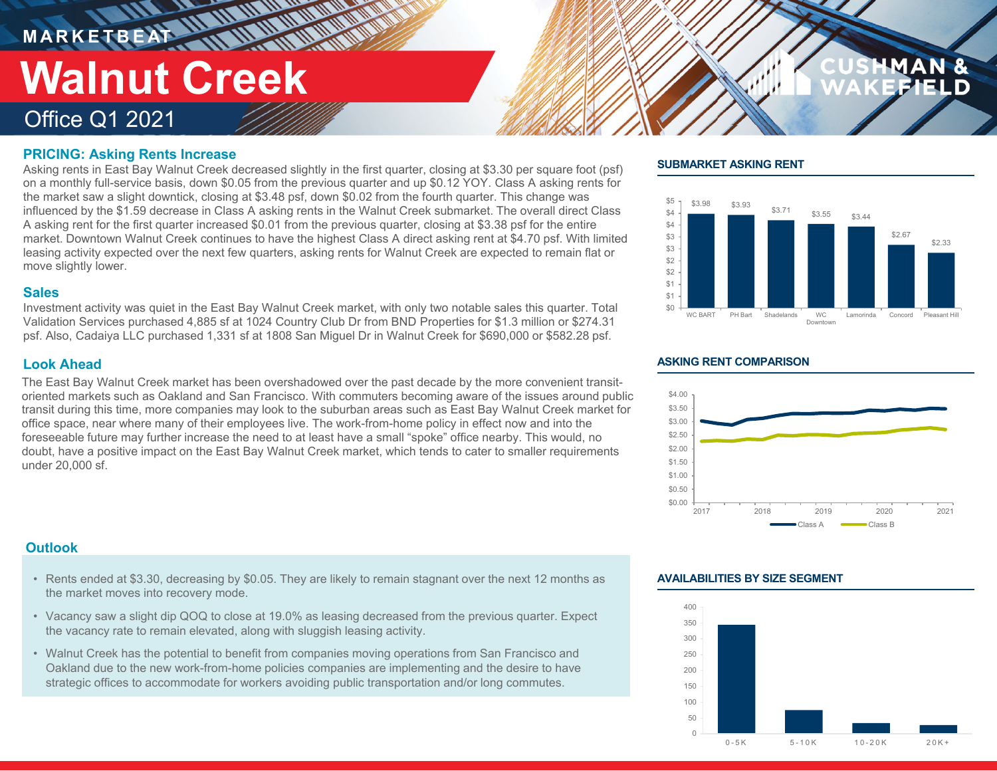**M A R K E T B E AT**

# **Walnut Creek**

## Office Q1 2021

### **PRICING: Asking Rents Increase**

Asking rents in East Bay Walnut Creek decreased slightly in the first quarter, closing at \$3.30 per square foot (psf) on a monthly full-service basis, down \$0.05 from the previous quarter and up \$0.12 YOY. Class A asking rents for the market saw a slight downtick, closing at \$3.48 psf, down \$0.02 from the fourth quarter. This change was influenced by the \$1.59 decrease in Class A asking rents in the Walnut Creek submarket. The overall direct Class A asking rent for the first quarter increased \$0.01 from the previous quarter, closing at \$3.38 psf for the entire market. Downtown Walnut Creek continues to have the highest Class A direct asking rent at \$4.70 psf. With limited leasing activity expected over the next few quarters, asking rents for Walnut Creek are expected to remain flat or move slightly lower.

### **Sales**

Investment activity was quiet in the East Bay Walnut Creek market, with only two notable sales this quarter. Total Validation Services purchased 4,885 sf at 1024 Country Club Dr from BND Properties for \$1.3 million or \$274.31 psf. Also, Cadaiya LLC purchased 1,331 sf at 1808 San Miguel Dr in Walnut Creek for \$690,000 or \$582.28 psf.

### **Look Ahead**

The East Bay Walnut Creek market has been overshadowed over the past decade by the more convenient transitoriented markets such as Oakland and San Francisco. With commuters becoming aware of the issues around public transit during this time, more companies may look to the suburban areas such as East Bay Walnut Creek market for office space, near where many of their employees live. The work-from-home policy in effect now and into the foreseeable future may further increase the need to at least have a small "spoke" office nearby. This would, no doubt, have a positive impact on the East Bay Walnut Creek market, which tends to cater to smaller requirements under 20,000 sf.

### **Outlook**

- Rents ended at \$3.30, decreasing by \$0.05. They are likely to remain stagnant over the next 12 months as the market moves into recovery mode.
- Vacancy saw a slight dip QOQ to close at 19.0% as leasing decreased from the previous quarter. Expect the vacancy rate to remain elevated, along with sluggish leasing activity.
- Walnut Creek has the potential to benefit from companies moving operations from San Francisco and Oakland due to the new work-from-home policies companies are implementing and the desire to have strategic offices to accommodate for workers avoiding public transportation and/or long commutes.

### **SUBMARKET ASKING RENT**



### **ASKING RENT COMPARISON**



### **AVAILABILITIES BY SIZE SEGMENT**

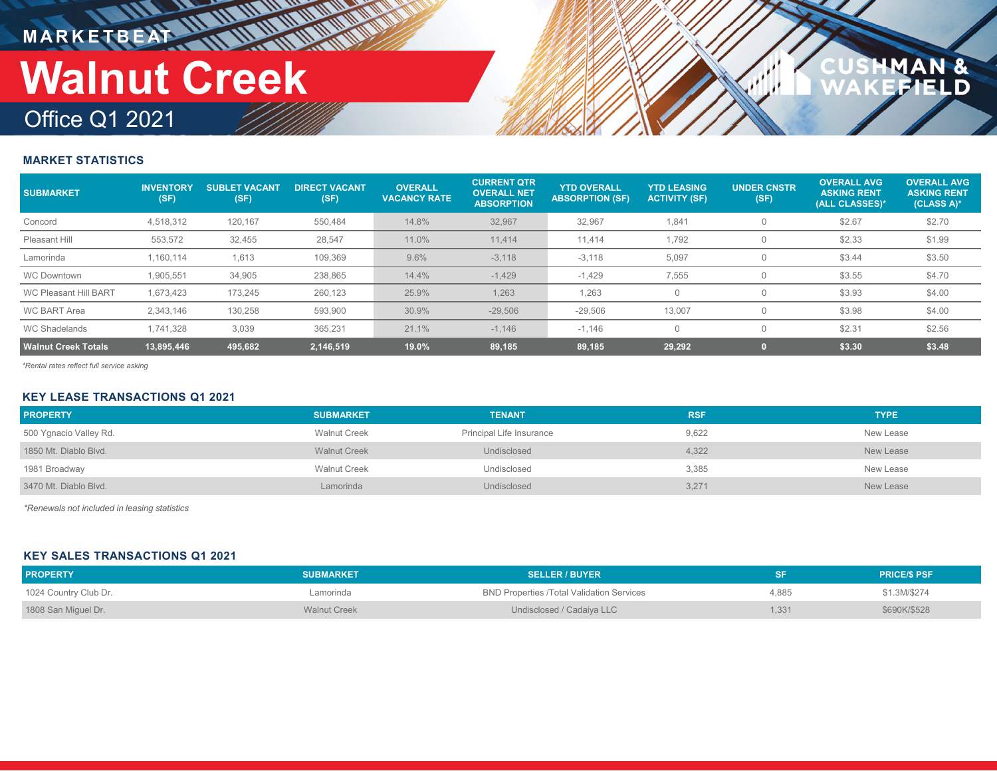**M A R K E T B E AT**

# **Walnut Creek**

## Office Q1 2021

## N&<br>ELD

### **MARKET STATISTICS**

| <b>SUBMARKET</b>             | <b>INVENTORY</b><br>(SF) | <b>SUBLET VACANT</b><br>(SF) | <b>DIRECT VACANT</b><br>(SF) | <b>OVERALL</b><br><b>VACANCY RATE</b> | <b>CURRENT QTR</b><br><b>OVERALL NET</b><br><b>ABSORPTION</b> | <b>YTD OVERALL</b><br><b>ABSORPTION (SF)</b> | <b>YTD LEASING</b><br><b>ACTIVITY (SF)</b> | <b>UNDER CNSTR</b><br>(SF) | <b>OVERALL AVG</b><br><b>ASKING RENT</b><br>(ALL CLASSES)* | <b>OVERALL AVG</b><br><b>ASKING RENT</b><br>$(CLASS A)*$ |
|------------------------------|--------------------------|------------------------------|------------------------------|---------------------------------------|---------------------------------------------------------------|----------------------------------------------|--------------------------------------------|----------------------------|------------------------------------------------------------|----------------------------------------------------------|
| Concord                      | 4,518,312                | 120,167                      | 550,484                      | 14.8%                                 | 32,967                                                        | 32,967                                       | 1,841                                      |                            | \$2.67                                                     | \$2.70                                                   |
| Pleasant Hill                | 553.572                  | 32.455                       | 28,547                       | 11.0%                                 | 11.414                                                        | 11,414                                       | 1.792                                      | U                          | \$2.33                                                     | \$1.99                                                   |
| Lamorinda                    | 1.160.114                | 1,613                        | 109,369                      | 9.6%                                  | $-3,118$                                                      | $-3,118$                                     | 5,097                                      | U                          | \$3.44                                                     | \$3.50                                                   |
| <b>WC Downtown</b>           | 1,905,551                | 34,905                       | 238,865                      | 14.4%                                 | $-1,429$                                                      | $-1,429$                                     | 7,555                                      | 0                          | \$3.55                                                     | \$4.70                                                   |
| <b>WC Pleasant Hill BART</b> | 1,673,423                | 173,245                      | 260,123                      | 25.9%                                 | 1,263                                                         | 1.263                                        |                                            |                            | \$3.93                                                     | \$4.00                                                   |
| <b>WC BART Area</b>          | 2.343.146                | 130,258                      | 593,900                      | 30.9%                                 | $-29,506$                                                     | $-29,506$                                    | 13,007                                     |                            | \$3.98                                                     | \$4.00                                                   |
| <b>WC Shadelands</b>         | 1,741,328                | 3,039                        | 365,231                      | 21.1%                                 | $-1,146$                                                      | $-1,146$                                     |                                            | $\Omega$                   | \$2.31                                                     | \$2.56                                                   |
| <b>Walnut Creek Totals</b>   | 13,895,446               | 495,682                      | 2,146,519                    | 19.0%                                 | 89,185                                                        | 89,185                                       | 29,292                                     |                            | \$3.30                                                     | \$3.48                                                   |

*\*Rental rates reflect full service asking*

### **KEY LEASE TRANSACTIONS Q1 2021**

| <b>PROPERTY</b>        | <b>SUBMARKET</b>    | <b>TENANT</b>            | <b>RSF</b> | <b>TYPE</b> |
|------------------------|---------------------|--------------------------|------------|-------------|
| 500 Ygnacio Valley Rd. | <b>Walnut Creek</b> | Principal Life Insurance | 9,622      | New Lease   |
| 1850 Mt. Diablo Blyd.  | <b>Walnut Creek</b> | Undisclosed              | 4,322      | New Lease   |
| 1981 Broadway          | <b>Walnut Creek</b> | Undisclosed              | 3,385      | New Lease   |
| 3470 Mt. Diablo Blyd.  | Lamorinda           | Undisclosed              | 3,271      | New Lease   |

*\*Renewals not included in leasing statistics*

### **KEY SALES TRANSACTIONS Q1 2021**

| <b>PROPERTY</b>       | <b>SUBMARKET</b>    | <b>SELLER / BUYER</b>                            |       | <b>PRICE/S PSF</b> |
|-----------------------|---------------------|--------------------------------------------------|-------|--------------------|
| 1024 Country Club Dr. | Lamorinda           | <b>BND Properties /Total Validation Services</b> | 4.885 | \$1.3M/\$274       |
| 1808 San Miguel Dr.   | <b>Walnut Creek</b> | Undisclosed / Cadaiva LLC                        | .331  | \$690K/\$528       |